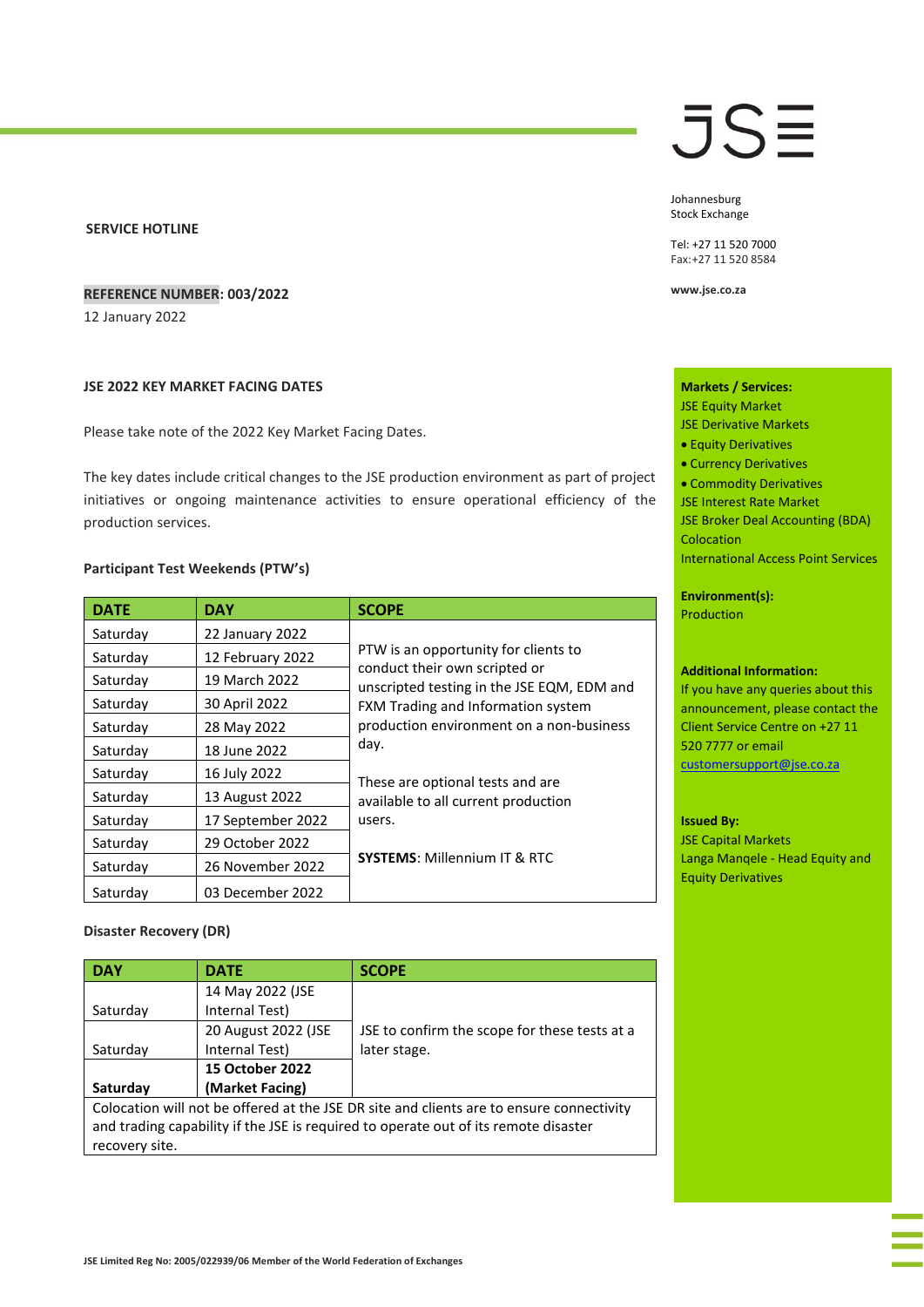## **SERVICE HOTLINE**

# **REFERENCE NUMBER: 003/2022**

12 January 2022

# **JSE 2022 KEY MARKET FACING DATES**

Please take note of the 2022 Key Market Facing Dates.

The key dates include critical changes to the JSE production environment as part of project initiatives or ongoing maintenance activities to ensure operational efficiency of the production services.

# **Participant Test Weekends (PTW's)**

| <b>DATE</b> | <b>DAY</b>        | <b>SCOPE</b>                                                                                                        |
|-------------|-------------------|---------------------------------------------------------------------------------------------------------------------|
| Saturday    | 22 January 2022   |                                                                                                                     |
| Saturday    | 12 February 2022  | PTW is an opportunity for clients to<br>conduct their own scripted or<br>unscripted testing in the JSE EQM, EDM and |
| Saturday    | 19 March 2022     |                                                                                                                     |
| Saturday    | 30 April 2022     | FXM Trading and Information system                                                                                  |
| Saturday    | 28 May 2022       | production environment on a non-business                                                                            |
| Saturday    | 18 June 2022      | day.                                                                                                                |
| Saturday    | 16 July 2022      | These are optional tests and are                                                                                    |
| Saturday    | 13 August 2022    | available to all current production                                                                                 |
| Saturday    | 17 September 2022 | users.                                                                                                              |
| Saturday    | 29 October 2022   |                                                                                                                     |
| Saturday    | 26 November 2022  | <b>SYSTEMS: Millennium IT &amp; RTC</b>                                                                             |
| Saturday    | 03 December 2022  |                                                                                                                     |

### **Disaster Recovery (DR)**

| <b>DAY</b>                                                                               | <b>DATE</b>            | <b>SCOPE</b>                                  |  |  |
|------------------------------------------------------------------------------------------|------------------------|-----------------------------------------------|--|--|
|                                                                                          | 14 May 2022 (JSE       |                                               |  |  |
| Saturday                                                                                 | Internal Test)         |                                               |  |  |
|                                                                                          | 20 August 2022 (JSE    | JSE to confirm the scope for these tests at a |  |  |
| Saturday                                                                                 | Internal Test)         | later stage.                                  |  |  |
|                                                                                          | <b>15 October 2022</b> |                                               |  |  |
| Saturday                                                                                 | (Market Facing)        |                                               |  |  |
| Colocation will not be offered at the JSE DR site and clients are to ensure connectivity |                        |                                               |  |  |
| and trading capability if the JSE is required to operate out of its remote disaster      |                        |                                               |  |  |
| recovery site.                                                                           |                        |                                               |  |  |

# **JSE**

Johannesburg Stock Exchange

Tel: +27 11 520 7000 Fax:+27 11 520 8584

**www.jse.co.za**

**Markets / Services:**  JSE Equity Market

- JSE Derivative Markets
- Equity Derivatives
- Currency Derivatives
- Commodity Derivatives
- JSE Interest Rate Market

JSE Broker Deal Accounting (BDA) **Colocation** 

International Access Point Services

# **Environment(s):**

Production

### **Additional Information:**

If you have any queries about this announcement, please contact the Client Service Centre on +27 11 520 7777 or email [customersupport@jse.co.za](mailto:customersupport@jse.co.za)

#### **Issued By:**

JSE Capital Markets Langa Manqele - Head Equity and Equity Derivatives